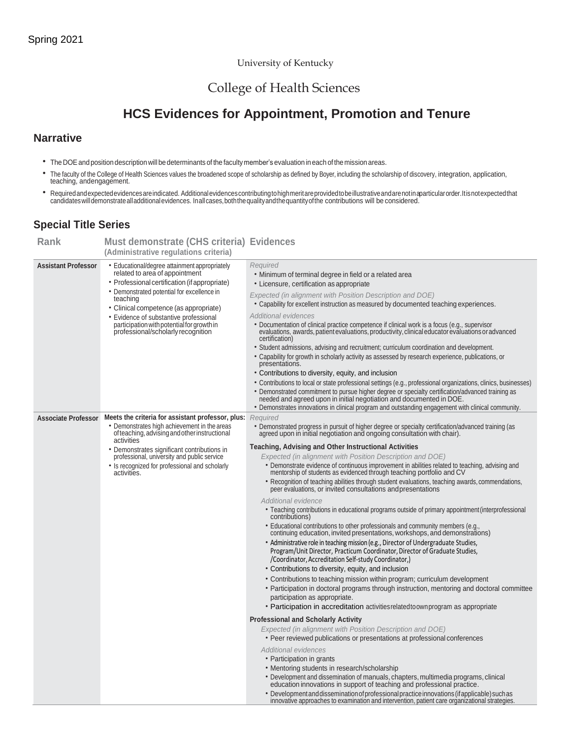#### University of Kentucky

## College of Health Sciences

# **HCS Evidences for Appointment, Promotion and Tenure**

#### **Narrative**

- TheDOEand position descriptionwill be determinants of the facultymember's evaluation in each of the mission areas.
- The faculty of the College of Health Sciences values the broadened scope of scholarship as defined by Boyer, including the scholarship of discovery, integration, application, teaching, andengagement.
- \* Required and expected evidences are indicated. Additional evidences contributing to high merit are provided to be illustrative and are not in aparticular order. It is not expected that<br>candidates will demonstrate all add

### **Special Title Series**

| Rank                       | <b>Must demonstrate (CHS criteria) Evidences</b>                                                                                                                                                                                                                                                                                                                   |                                                                                                                                                                                                                                                                                                                                                                                                                                                                                                                                                                                                                                                                                                                                                        |
|----------------------------|--------------------------------------------------------------------------------------------------------------------------------------------------------------------------------------------------------------------------------------------------------------------------------------------------------------------------------------------------------------------|--------------------------------------------------------------------------------------------------------------------------------------------------------------------------------------------------------------------------------------------------------------------------------------------------------------------------------------------------------------------------------------------------------------------------------------------------------------------------------------------------------------------------------------------------------------------------------------------------------------------------------------------------------------------------------------------------------------------------------------------------------|
|                            | (Administrative regulations criteria)                                                                                                                                                                                                                                                                                                                              |                                                                                                                                                                                                                                                                                                                                                                                                                                                                                                                                                                                                                                                                                                                                                        |
| <b>Assistant Professor</b> | • Educational/degree attainment appropriately<br>related to area of appointment<br>• Professional certification (if appropriate)<br>• Demonstrated potential for excellence in<br>teaching<br>• Clinical competence (as appropriate)<br>• Evidence of substantive professional<br>participation with potential for growth in<br>professional/scholarly recognition | Required<br>• Minimum of terminal degree in field or a related area<br>• Licensure, certification as appropriate<br>Expected (in alignment with Position Description and DOE)<br>. Capability for excellent instruction as measured by documented teaching experiences.                                                                                                                                                                                                                                                                                                                                                                                                                                                                                |
|                            |                                                                                                                                                                                                                                                                                                                                                                    | <b>Additional evidences</b><br>• Documentation of clinical practice competence if clinical work is a focus (e.g., supervisor<br>evaluations, awards, patient evaluations, productivity, clinical educator evaluations or advanced<br>certification)<br>• Student admissions, advising and recruitment; curriculum coordination and development.<br>• Capability for growth in scholarly activity as assessed by research experience, publications, or<br>presentations.<br>• Contributions to diversity, equity, and inclusion<br>· Contributions to local or state professional settings (e.g., professional organizations, clinics, businesses)<br>• Demonstrated commitment to pursue higher degree or specialty certification/advanced training as |
|                            |                                                                                                                                                                                                                                                                                                                                                                    | needed and agreed upon in initial negotiation and documented in DOE.                                                                                                                                                                                                                                                                                                                                                                                                                                                                                                                                                                                                                                                                                   |
|                            |                                                                                                                                                                                                                                                                                                                                                                    | • Demonstrates innovations in clinical program and outstanding engagement with clinical community.                                                                                                                                                                                                                                                                                                                                                                                                                                                                                                                                                                                                                                                     |
| <b>Associate Professor</b> | Meets the criteria for assistant professor, plus: Required<br>• Demonstrates high achievement in the areas<br>of teaching, advising and other instructional                                                                                                                                                                                                        | • Demonstrated progress in pursuit of higher degree or specialty certification/advanced training (as<br>agreed upon in initial negotiation and ongoing consultation with chair).                                                                                                                                                                                                                                                                                                                                                                                                                                                                                                                                                                       |
|                            | activities<br>• Demonstrates significant contributions in                                                                                                                                                                                                                                                                                                          | <b>Teaching, Advising and Other Instructional Activities</b>                                                                                                                                                                                                                                                                                                                                                                                                                                                                                                                                                                                                                                                                                           |
|                            | professional, university and public service                                                                                                                                                                                                                                                                                                                        | Expected (in alignment with Position Description and DOE)                                                                                                                                                                                                                                                                                                                                                                                                                                                                                                                                                                                                                                                                                              |
|                            | • Is recognized for professional and scholarly<br>activities.                                                                                                                                                                                                                                                                                                      | • Demonstrate evidence of continuous improvement in abilities related to teaching, advising and mentorship of students as evidenced through teaching portfolio and CV                                                                                                                                                                                                                                                                                                                                                                                                                                                                                                                                                                                  |
|                            |                                                                                                                                                                                                                                                                                                                                                                    | • Recognition of teaching abilities through student evaluations, teaching awards, commendations,<br>peer evaluations, or invited consultations and presentations                                                                                                                                                                                                                                                                                                                                                                                                                                                                                                                                                                                       |
|                            |                                                                                                                                                                                                                                                                                                                                                                    | <b>Additional evidence</b><br>• Teaching contributions in educational programs outside of primary appointment (interprofessional<br>contributions)                                                                                                                                                                                                                                                                                                                                                                                                                                                                                                                                                                                                     |
|                            |                                                                                                                                                                                                                                                                                                                                                                    | • Educational contributions to other professionals and community members (e.g., continuing education, invited presentations, workshops, and demonstrations)                                                                                                                                                                                                                                                                                                                                                                                                                                                                                                                                                                                            |
|                            |                                                                                                                                                                                                                                                                                                                                                                    | • Administrative role in teaching mission (e.g., Director of Undergraduate Studies,<br>Program/Unit Director, Practicum Coordinator, Director of Graduate Studies,<br>/Coordinator, Accreditation Self-study Coordinator,)                                                                                                                                                                                                                                                                                                                                                                                                                                                                                                                             |
|                            |                                                                                                                                                                                                                                                                                                                                                                    | • Contributions to diversity, equity, and inclusion                                                                                                                                                                                                                                                                                                                                                                                                                                                                                                                                                                                                                                                                                                    |
|                            |                                                                                                                                                                                                                                                                                                                                                                    | • Contributions to teaching mission within program; curriculum development                                                                                                                                                                                                                                                                                                                                                                                                                                                                                                                                                                                                                                                                             |
|                            |                                                                                                                                                                                                                                                                                                                                                                    | • Participation in doctoral programs through instruction, mentoring and doctoral committee<br>participation as appropriate.                                                                                                                                                                                                                                                                                                                                                                                                                                                                                                                                                                                                                            |
|                            |                                                                                                                                                                                                                                                                                                                                                                    | • Participation in accreditation activities related to own program as appropriate                                                                                                                                                                                                                                                                                                                                                                                                                                                                                                                                                                                                                                                                      |
|                            |                                                                                                                                                                                                                                                                                                                                                                    | <b>Professional and Scholarly Activity</b>                                                                                                                                                                                                                                                                                                                                                                                                                                                                                                                                                                                                                                                                                                             |
|                            |                                                                                                                                                                                                                                                                                                                                                                    | Expected (in alignment with Position Description and DOE)                                                                                                                                                                                                                                                                                                                                                                                                                                                                                                                                                                                                                                                                                              |
|                            |                                                                                                                                                                                                                                                                                                                                                                    | • Peer reviewed publications or presentations at professional conferences                                                                                                                                                                                                                                                                                                                                                                                                                                                                                                                                                                                                                                                                              |
|                            |                                                                                                                                                                                                                                                                                                                                                                    | <b>Additional evidences</b>                                                                                                                                                                                                                                                                                                                                                                                                                                                                                                                                                                                                                                                                                                                            |
|                            |                                                                                                                                                                                                                                                                                                                                                                    | • Participation in grants<br>• Mentoring students in research/scholarship                                                                                                                                                                                                                                                                                                                                                                                                                                                                                                                                                                                                                                                                              |
|                            |                                                                                                                                                                                                                                                                                                                                                                    | • Development and dissemination of manuals, chapters, multimedia programs, clinical<br>education innovations in support of teaching and professional practice.                                                                                                                                                                                                                                                                                                                                                                                                                                                                                                                                                                                         |
|                            |                                                                                                                                                                                                                                                                                                                                                                    | • Development and dissemination of professional practice innovations (if applicable) such as<br>innovative approaches to examination and intervention, patient care organizational strategies.                                                                                                                                                                                                                                                                                                                                                                                                                                                                                                                                                         |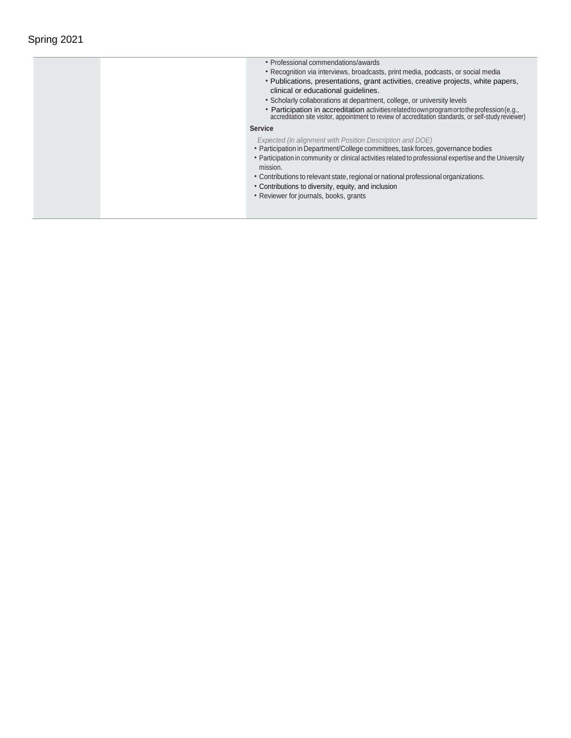| • Professional commendations/awards                                                                                                                                                                                                                                                                                                                                                                                                                           |
|---------------------------------------------------------------------------------------------------------------------------------------------------------------------------------------------------------------------------------------------------------------------------------------------------------------------------------------------------------------------------------------------------------------------------------------------------------------|
| • Recognition via interviews, broadcasts, print media, podcasts, or social media                                                                                                                                                                                                                                                                                                                                                                              |
| • Publications, presentations, grant activities, creative projects, white papers,<br>clinical or educational quidelines.                                                                                                                                                                                                                                                                                                                                      |
| • Scholarly collaborations at department, college, or university levels                                                                                                                                                                                                                                                                                                                                                                                       |
| • Participation in accreditation activities related to own program or to the profession (e.g., accreditation site visitor, appointment to review of accreditation standards, or self-study reviewer)                                                                                                                                                                                                                                                          |
| <b>Service</b>                                                                                                                                                                                                                                                                                                                                                                                                                                                |
| Expected (in alignment with Position Description and DOE)<br>• Participation in Department/College committees, task forces, governance bodies<br>• Participation in community or clinical activities related to professional expertise and the University<br>mission.<br>• Contributions to relevant state, regional or national professional organizations.<br>• Contributions to diversity, equity, and inclusion<br>• Reviewer for journals, books, grants |
|                                                                                                                                                                                                                                                                                                                                                                                                                                                               |